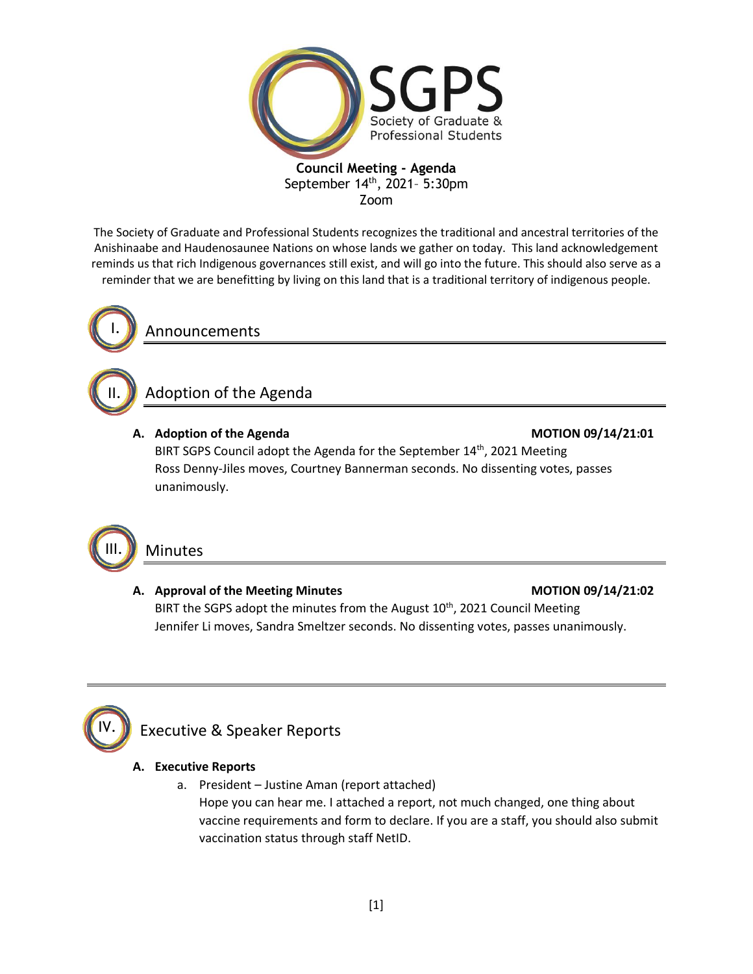

The Society of Graduate and Professional Students recognizes the traditional and ancestral territories of the Anishinaabe and Haudenosaunee Nations on whose lands we gather on today. This land acknowledgement reminds us that rich Indigenous governances still exist, and will go into the future. This should also serve as a reminder that we are benefitting by living on this land that is a traditional territory of indigenous people.



II.

III.

Announcements

# Adoption of the Agenda

### **A. Adoption of the Agenda MOTION 09/14/21:01**

BIRT SGPS Council adopt the Agenda for the September 14<sup>th</sup>, 2021 Meeting Ross Denny-Jiles moves, Courtney Bannerman seconds. No dissenting votes, passes unanimously.

# Minutes

### A. Approval of the Meeting Minutes **MOTION 09/14/21:02**

BIRT the SGPS adopt the minutes from the August 10<sup>th</sup>, 2021 Council Meeting Jennifer Li moves, Sandra Smeltzer seconds. No dissenting votes, passes unanimously.



# Executive & Speaker Reports

### **A. Executive Reports**

a. President – Justine Aman (report attached) Hope you can hear me. I attached a report, not much changed, one thing about vaccine requirements and form to declare. If you are a staff, you should also submit vaccination status through staff NetID.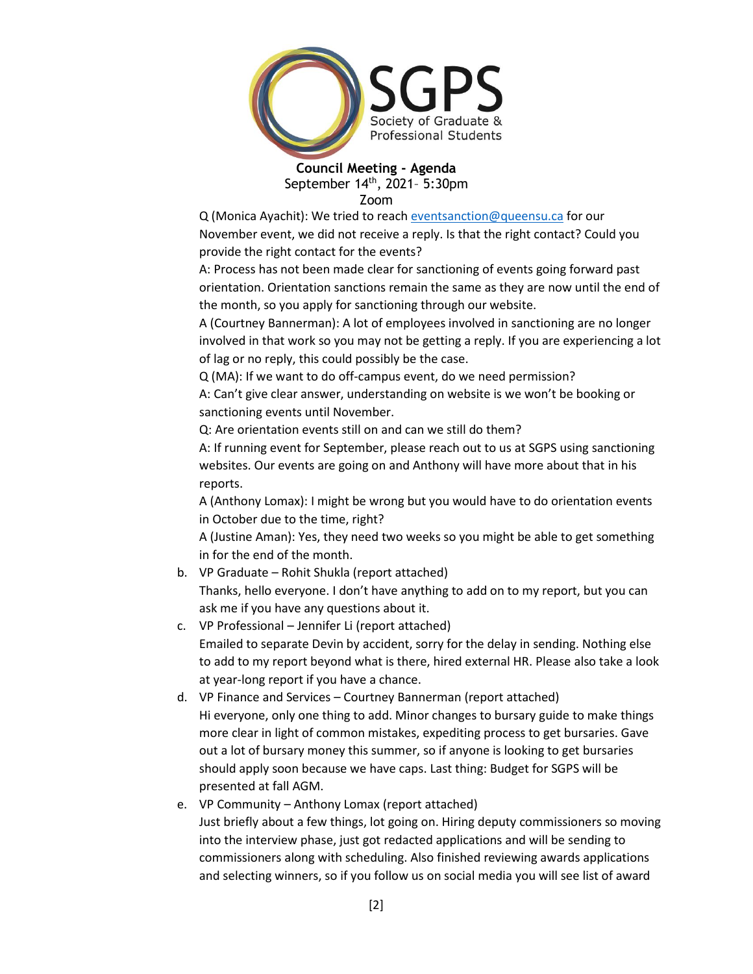

Q (Monica Ayachit): We tried to reach [eventsanction@queensu.ca](mailto:eventsanction@queensu.ca) for our November event, we did not receive a reply. Is that the right contact? Could you provide the right contact for the events?

A: Process has not been made clear for sanctioning of events going forward past orientation. Orientation sanctions remain the same as they are now until the end of the month, so you apply for sanctioning through our website.

A (Courtney Bannerman): A lot of employees involved in sanctioning are no longer involved in that work so you may not be getting a reply. If you are experiencing a lot of lag or no reply, this could possibly be the case.

Q (MA): If we want to do off-campus event, do we need permission?

A: Can't give clear answer, understanding on website is we won't be booking or sanctioning events until November.

Q: Are orientation events still on and can we still do them?

A: If running event for September, please reach out to us at SGPS using sanctioning websites. Our events are going on and Anthony will have more about that in his reports.

A (Anthony Lomax): I might be wrong but you would have to do orientation events in October due to the time, right?

A (Justine Aman): Yes, they need two weeks so you might be able to get something in for the end of the month.

- b. VP Graduate Rohit Shukla (report attached) Thanks, hello everyone. I don't have anything to add on to my report, but you can ask me if you have any questions about it.
- c. VP Professional Jennifer Li (report attached) Emailed to separate Devin by accident, sorry for the delay in sending. Nothing else to add to my report beyond what is there, hired external HR. Please also take a look at year-long report if you have a chance.
- d. VP Finance and Services Courtney Bannerman (report attached) Hi everyone, only one thing to add. Minor changes to bursary guide to make things more clear in light of common mistakes, expediting process to get bursaries. Gave out a lot of bursary money this summer, so if anyone is looking to get bursaries should apply soon because we have caps. Last thing: Budget for SGPS will be presented at fall AGM.
- e. VP Community Anthony Lomax (report attached) Just briefly about a few things, lot going on. Hiring deputy commissioners so moving into the interview phase, just got redacted applications and will be sending to commissioners along with scheduling. Also finished reviewing awards applications and selecting winners, so if you follow us on social media you will see list of award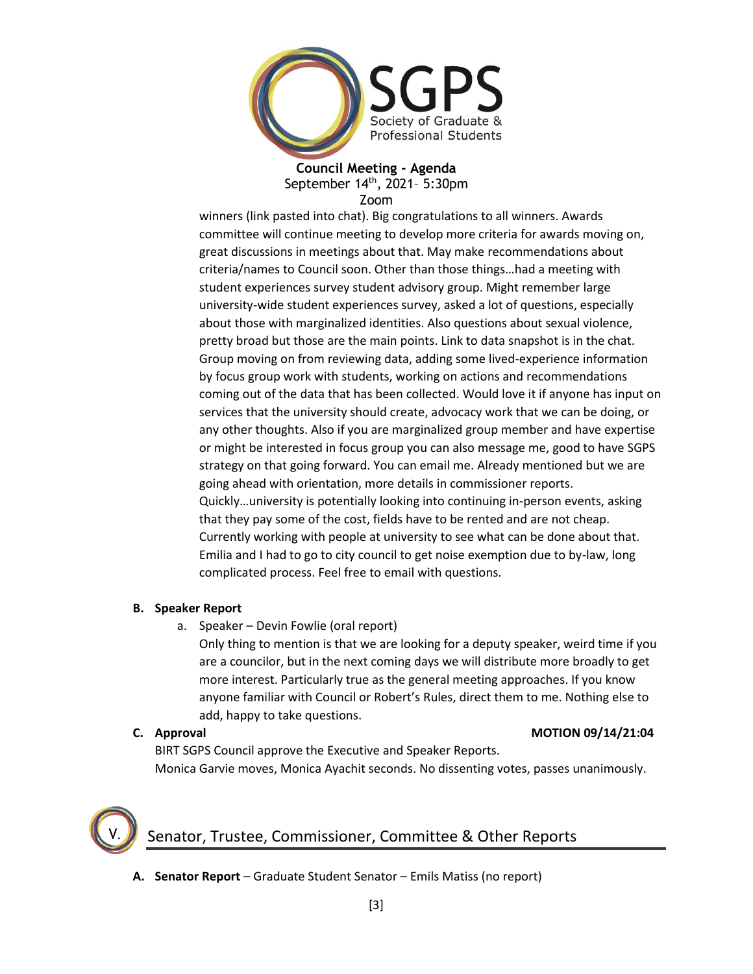

winners (link pasted into chat). Big congratulations to all winners. Awards committee will continue meeting to develop more criteria for awards moving on, great discussions in meetings about that. May make recommendations about criteria/names to Council soon. Other than those things…had a meeting with student experiences survey student advisory group. Might remember large university-wide student experiences survey, asked a lot of questions, especially about those with marginalized identities. Also questions about sexual violence, pretty broad but those are the main points. Link to data snapshot is in the chat. Group moving on from reviewing data, adding some lived-experience information by focus group work with students, working on actions and recommendations coming out of the data that has been collected. Would love it if anyone has input on services that the university should create, advocacy work that we can be doing, or any other thoughts. Also if you are marginalized group member and have expertise or might be interested in focus group you can also message me, good to have SGPS strategy on that going forward. You can email me. Already mentioned but we are going ahead with orientation, more details in commissioner reports. Quickly…university is potentially looking into continuing in-person events, asking that they pay some of the cost, fields have to be rented and are not cheap. Currently working with people at university to see what can be done about that. Emilia and I had to go to city council to get noise exemption due to by-law, long complicated process. Feel free to email with questions.

### **B. Speaker Report**

a. Speaker – Devin Fowlie (oral report)

Only thing to mention is that we are looking for a deputy speaker, weird time if you are a councilor, but in the next coming days we will distribute more broadly to get more interest. Particularly true as the general meeting approaches. If you know anyone familiar with Council or Robert's Rules, direct them to me. Nothing else to add, happy to take questions.

#### **C. Approval MOTION 09/14/21:04**

BIRT SGPS Council approve the Executive and Speaker Reports. Monica Garvie moves, Monica Ayachit seconds. No dissenting votes, passes unanimously.



# Senator, Trustee, Commissioner, Committee & Other Reports

**A. Senator Report** – Graduate Student Senator – Emils Matiss (no report)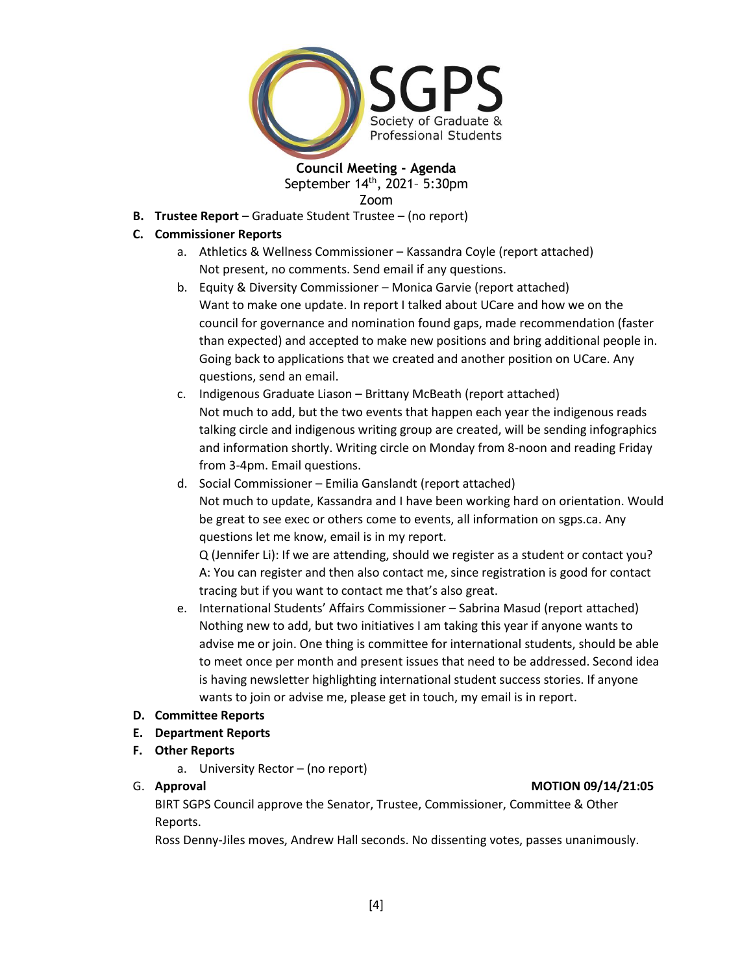

**B. Trustee Report** – Graduate Student Trustee – (no report)

#### **C. Commissioner Reports**

- a. Athletics & Wellness Commissioner Kassandra Coyle (report attached) Not present, no comments. Send email if any questions.
- b. Equity & Diversity Commissioner Monica Garvie (report attached) Want to make one update. In report I talked about UCare and how we on the council for governance and nomination found gaps, made recommendation (faster than expected) and accepted to make new positions and bring additional people in. Going back to applications that we created and another position on UCare. Any questions, send an email.
- c. Indigenous Graduate Liason Brittany McBeath (report attached) Not much to add, but the two events that happen each year the indigenous reads talking circle and indigenous writing group are created, will be sending infographics and information shortly. Writing circle on Monday from 8-noon and reading Friday from 3-4pm. Email questions.
- d. Social Commissioner Emilia Ganslandt (report attached) Not much to update, Kassandra and I have been working hard on orientation. Would be great to see exec or others come to events, all information on sgps.ca. Any questions let me know, email is in my report.

Q (Jennifer Li): If we are attending, should we register as a student or contact you? A: You can register and then also contact me, since registration is good for contact tracing but if you want to contact me that's also great.

e. International Students' Affairs Commissioner – Sabrina Masud (report attached) Nothing new to add, but two initiatives I am taking this year if anyone wants to advise me or join. One thing is committee for international students, should be able to meet once per month and present issues that need to be addressed. Second idea is having newsletter highlighting international student success stories. If anyone wants to join or advise me, please get in touch, my email is in report.

#### **D. Committee Reports**

### **E. Department Reports**

### **F. Other Reports**

a. University Rector – (no report)

#### G. **Approval MOTION 09/14/21:05**

BIRT SGPS Council approve the Senator, Trustee, Commissioner, Committee & Other Reports.

Ross Denny-Jiles moves, Andrew Hall seconds. No dissenting votes, passes unanimously.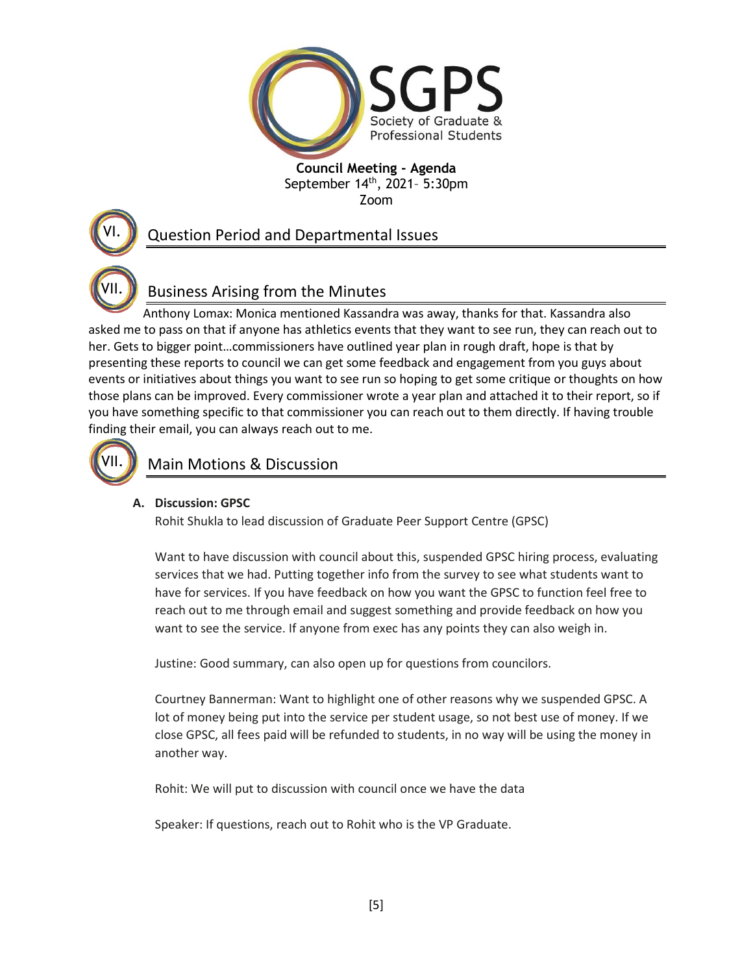

## Question Period and Departmental Issues

# Business Arising from the Minutes

Anthony Lomax: Monica mentioned Kassandra was away, thanks for that. Kassandra also asked me to pass on that if anyone has athletics events that they want to see run, they can reach out to her. Gets to bigger point…commissioners have outlined year plan in rough draft, hope is that by presenting these reports to council we can get some feedback and engagement from you guys about events or initiatives about things you want to see run so hoping to get some critique or thoughts on how those plans can be improved. Every commissioner wrote a year plan and attached it to their report, so if you have something specific to that commissioner you can reach out to them directly. If having trouble finding their email, you can always reach out to me.



VII.

VI.

## Main Motions & Discussion

### **A. Discussion: GPSC**

Rohit Shukla to lead discussion of Graduate Peer Support Centre (GPSC)

Want to have discussion with council about this, suspended GPSC hiring process, evaluating services that we had. Putting together info from the survey to see what students want to have for services. If you have feedback on how you want the GPSC to function feel free to reach out to me through email and suggest something and provide feedback on how you want to see the service. If anyone from exec has any points they can also weigh in.

Justine: Good summary, can also open up for questions from councilors.

Courtney Bannerman: Want to highlight one of other reasons why we suspended GPSC. A lot of money being put into the service per student usage, so not best use of money. If we close GPSC, all fees paid will be refunded to students, in no way will be using the money in another way.

Rohit: We will put to discussion with council once we have the data

Speaker: If questions, reach out to Rohit who is the VP Graduate.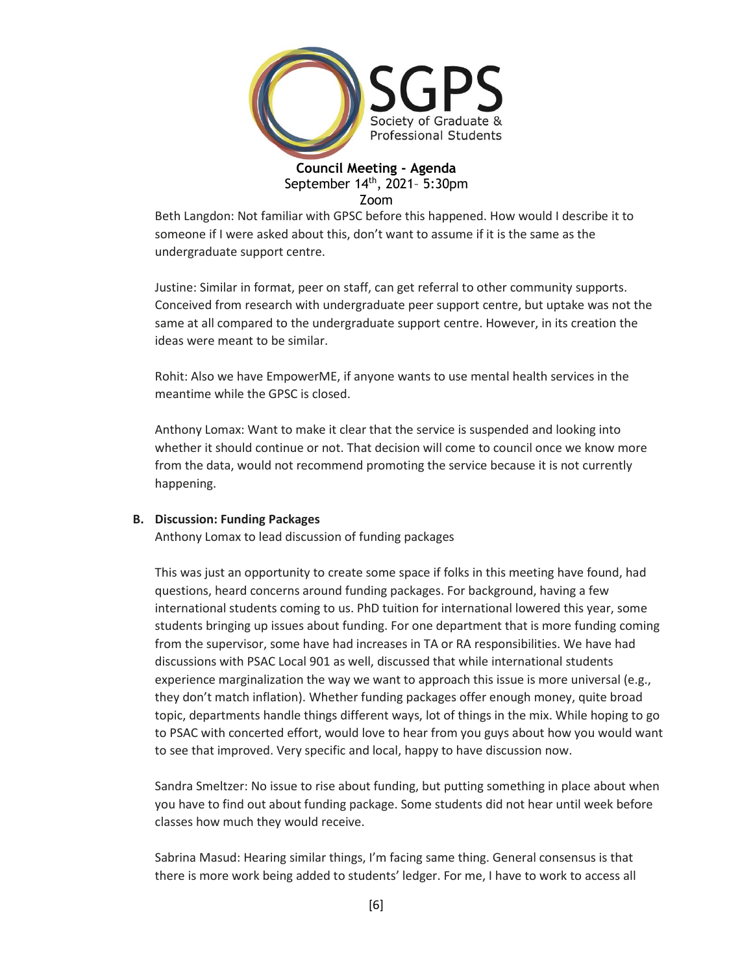

Beth Langdon: Not familiar with GPSC before this happened. How would I describe it to someone if I were asked about this, don't want to assume if it is the same as the undergraduate support centre.

Justine: Similar in format, peer on staff, can get referral to other community supports. Conceived from research with undergraduate peer support centre, but uptake was not the same at all compared to the undergraduate support centre. However, in its creation the ideas were meant to be similar.

Rohit: Also we have EmpowerME, if anyone wants to use mental health services in the meantime while the GPSC is closed.

Anthony Lomax: Want to make it clear that the service is suspended and looking into whether it should continue or not. That decision will come to council once we know more from the data, would not recommend promoting the service because it is not currently happening.

#### **B. Discussion: Funding Packages**

Anthony Lomax to lead discussion of funding packages

This was just an opportunity to create some space if folks in this meeting have found, had questions, heard concerns around funding packages. For background, having a few international students coming to us. PhD tuition for international lowered this year, some students bringing up issues about funding. For one department that is more funding coming from the supervisor, some have had increases in TA or RA responsibilities. We have had discussions with PSAC Local 901 as well, discussed that while international students experience marginalization the way we want to approach this issue is more universal (e.g., they don't match inflation). Whether funding packages offer enough money, quite broad topic, departments handle things different ways, lot of things in the mix. While hoping to go to PSAC with concerted effort, would love to hear from you guys about how you would want to see that improved. Very specific and local, happy to have discussion now.

Sandra Smeltzer: No issue to rise about funding, but putting something in place about when you have to find out about funding package. Some students did not hear until week before classes how much they would receive.

Sabrina Masud: Hearing similar things, I'm facing same thing. General consensus is that there is more work being added to students' ledger. For me, I have to work to access all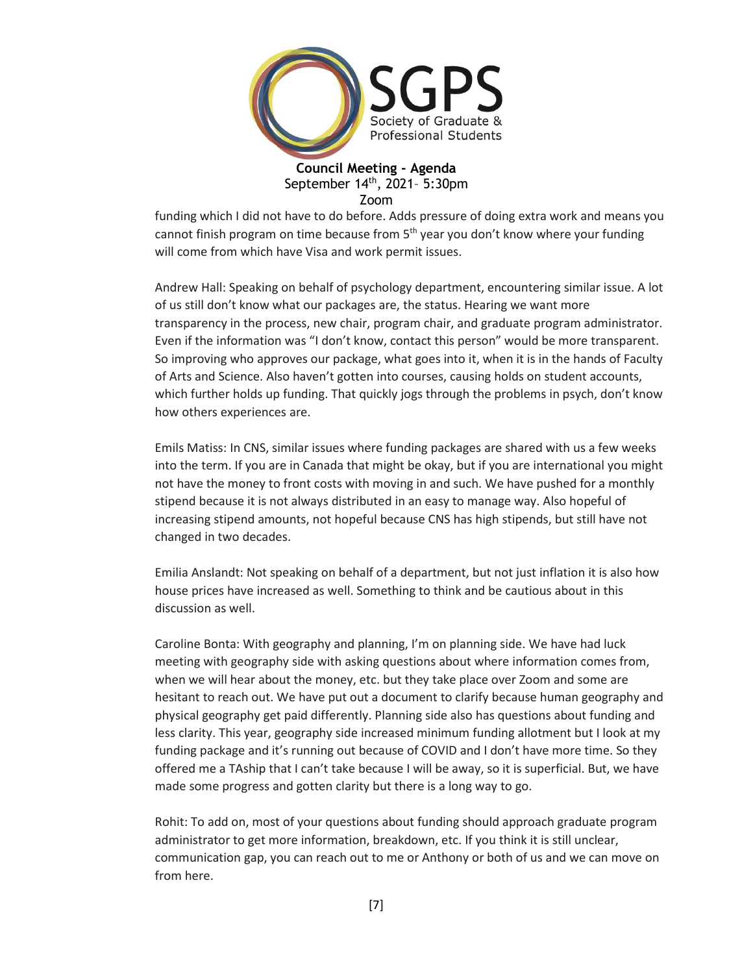

funding which I did not have to do before. Adds pressure of doing extra work and means you cannot finish program on time because from 5<sup>th</sup> year you don't know where your funding will come from which have Visa and work permit issues.

Andrew Hall: Speaking on behalf of psychology department, encountering similar issue. A lot of us still don't know what our packages are, the status. Hearing we want more transparency in the process, new chair, program chair, and graduate program administrator. Even if the information was "I don't know, contact this person" would be more transparent. So improving who approves our package, what goes into it, when it is in the hands of Faculty of Arts and Science. Also haven't gotten into courses, causing holds on student accounts, which further holds up funding. That quickly jogs through the problems in psych, don't know how others experiences are.

Emils Matiss: In CNS, similar issues where funding packages are shared with us a few weeks into the term. If you are in Canada that might be okay, but if you are international you might not have the money to front costs with moving in and such. We have pushed for a monthly stipend because it is not always distributed in an easy to manage way. Also hopeful of increasing stipend amounts, not hopeful because CNS has high stipends, but still have not changed in two decades.

Emilia Anslandt: Not speaking on behalf of a department, but not just inflation it is also how house prices have increased as well. Something to think and be cautious about in this discussion as well.

Caroline Bonta: With geography and planning, I'm on planning side. We have had luck meeting with geography side with asking questions about where information comes from, when we will hear about the money, etc. but they take place over Zoom and some are hesitant to reach out. We have put out a document to clarify because human geography and physical geography get paid differently. Planning side also has questions about funding and less clarity. This year, geography side increased minimum funding allotment but I look at my funding package and it's running out because of COVID and I don't have more time. So they offered me a TAship that I can't take because I will be away, so it is superficial. But, we have made some progress and gotten clarity but there is a long way to go.

Rohit: To add on, most of your questions about funding should approach graduate program administrator to get more information, breakdown, etc. If you think it is still unclear, communication gap, you can reach out to me or Anthony or both of us and we can move on from here.